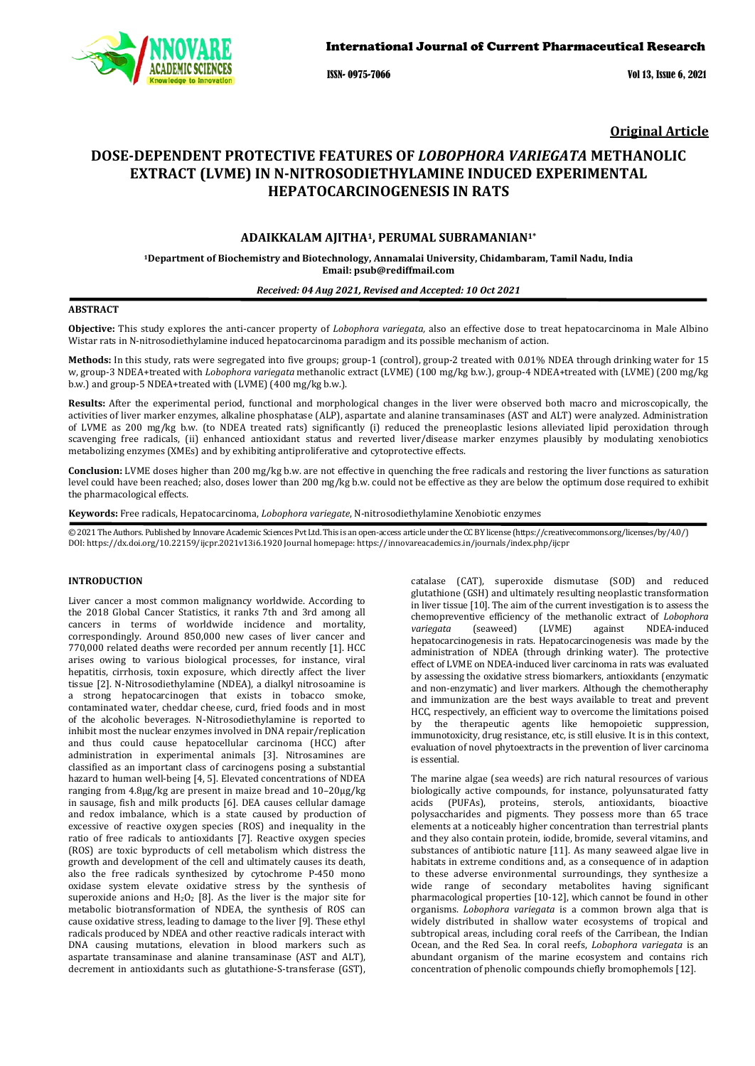

ISSN- 0975-7066 Vol 13, Issue 6, 2021

**Original Article**

# **DOSE-DEPENDENT PROTECTIVE FEATURES OF** *LOBOPHORA VARIEGATA* **METHANOLIC EXTRACT (LVME) IN N-NITROSODIETHYLAMINE INDUCED EXPERIMENTAL HEPATOCARCINOGENESIS IN RATS**

# **ADAIKKALAM AJITHA1, PERUMAL SUBRAMANIAN1\***

**1Department of Biochemistry and Biotechnology, Annamalai University, Chidambaram, Tamil Nadu, India Email: psub@rediffmail.com**

# *Received: 04 Aug 2021, Revised and Accepted: 10 Oct 2021*

# **ABSTRACT**

**Objective:** This study explores the anti-cancer property of *Lobophora variegata,* also an effective dose to treat hepatocarcinoma in Male Albino Wistar rats in N-nitrosodiethylamine induced hepatocarcinoma paradigm and its possible mechanism of action.

**Methods:** In this study, rats were segregated into five groups; group-1 (control), group-2 treated with 0.01% NDEA through drinking water for 15 w, group-3 NDEA+treated with *Lobophora variegata* methanolic extract (LVME) (100 mg/kg b.w.), group-4 NDEA+treated with (LVME) (200 mg/kg b.w.) and group-5 NDEA+treated with (LVME) (400 mg/kg b.w.).

**Results:** After the experimental period, functional and morphological changes in the liver were observed both macro and microscopically, the activities of liver marker enzymes, alkaline phosphatase (ALP), aspartate and alanine transaminases (AST and ALT) were analyzed. Administration of LVME as 200 mg/kg b.w. (to NDEA treated rats) significantly (i) reduced the preneoplastic lesions alleviated lipid peroxidation through scavenging free radicals, (ii) enhanced antioxidant status and reverted liver/disease marker enzymes plausibly by modulating xenobiotics metabolizing enzymes (XMEs) and by exhibiting antiproliferative and cytoprotective effects.

**Conclusion:** LVME doses higher than 200 mg/kg b.w. are not effective in quenching the free radicals and restoring the liver functions as saturation level could have been reached; also, doses lower than 200 mg/kg b.w. could not be effective as they are below the optimum dose required to exhibit the pharmacological effects.

**Keywords:** Free radicals, Hepatocarcinoma, *Lobophora variegate*, N-nitrosodiethylamine Xenobiotic enzymes

© 2021 The Authors. Published by Innovare Academic Sciences Pvt Ltd. This is an open-access article under the CC BY license [\(https://creativecommons.org/licenses/by/4.0/\)](https://creativecommons.org/licenses/by/4.0/) DOI[: https://dx.doi.org/10.22159/ijcpr.2021v13i6.1](https://dx.doi.org/10.22159/ijcpr.2021v13i6)920 Journal homepage[: https://innovareacademics.in/journals/index.php/ijcpr](https://innovareacademics.in/journals/index.php/ijcpr)

# **INTRODUCTION**

Liver cancer a most common malignancy worldwide. According to the 2018 Global Cancer Statistics, it ranks 7th and 3rd among all cancers in terms of worldwide incidence and mortality, correspondingly. Around 850,000 new cases of liver cancer and 770,000 related deaths were recorded per annum recently [1]. HCC arises owing to various biological processes, for instance, viral hepatitis, cirrhosis, toxin exposure, which directly affect the liver tissue [2]. N-Nitrosodiethylamine (NDEA), a dialkyl nitrosoamine is a strong hepatocarcinogen that exists in tobacco smoke, contaminated water, cheddar cheese, curd, fried foods and in most of the alcoholic beverages. N-Nitrosodiethylamine is reported to inhibit most the nuclear enzymes involved in DNA repair/replication and thus could cause hepatocellular carcinoma (HCC) after administration in experimental animals [3]. Nitrosamines are classified as an important class of carcinogens posing a substantial hazard to human well-being [4, 5]. Elevated concentrations of NDEA ranging from 4.8μg/kg are present in maize bread and 10–20μg/kg in sausage, fish and milk products [6]. DEA causes cellular damage and redox imbalance, which is a state caused by production of excessive of reactive oxygen species (ROS) and inequality in the ratio of free radicals to antioxidants [7]. Reactive oxygen species (ROS) are toxic byproducts of cell metabolism which distress the growth and development of the cell and ultimately causes its death, also the free radicals synthesized by cytochrome P-450 mono oxidase system elevate oxidative stress by the synthesis of superoxide anions and  $H_2O_2$  [8]. As the liver is the major site for metabolic biotransformation of NDEA, the synthesis of ROS can cause oxidative stress, leading to damage to the liver [9]. These ethyl radicals produced by NDEA and other reactive radicals interact with DNA causing mutations, elevation in blood markers such as aspartate transaminase and alanine transaminase (AST and ALT), decrement in antioxidants such as glutathione-S-transferase (GST),

catalase (CAT), superoxide dismutase (SOD) and reduced glutathione (GSH) and ultimately resulting neoplastic transformation in liver tissue [10]. The aim of the current investigation is to assess the chemopreventive efficiency of the methanolic extract of *Lobophora variegata* (seaweed) (LVME) against NDEA-induced hepatocarcinogenesis in rats. Hepatocarcinogenesis was made by the administration of NDEA (through drinking water). The protective effect of LVME on NDEA-induced liver carcinoma in rats was evaluated by assessing the oxidative stress biomarkers, antioxidants (enzymatic and non-enzymatic) and liver markers. Although the chemotheraphy and immunization are the best ways available to treat and prevent HCC, respectively, an efficient way to overcome the limitations poised by the therapeutic agents like hemopoietic suppression, immunotoxicity, drug resistance, etc, is still elusive. It is in this context, evaluation of novel phytoextracts in the prevention of liver carcinoma is essential.

The marine algae (sea weeds) are rich natural resources of various biologically active compounds, for instance, polyunsaturated fatty acids (PUFAs), proteins, sterols, antioxidants, bioactive proteins, sterols, antioxidants, bioactive polysaccharides and pigments. They possess more than 65 trace elements at a noticeably higher concentration than terrestrial plants and they also contain protein, iodide, bromide, several vitamins, and substances of antibiotic nature [11]. As many seaweed algae live in habitats in extreme conditions and, as a consequence of in adaption to these adverse environmental surroundings, they synthesize a wide range of secondary metabolites having significant pharmacological properties [10-12], which cannot be found in other organisms. *Lobophora variegata* is a common brown alga that is widely distributed in shallow water ecosystems of tropical and subtropical areas, including coral reefs of the Carribean, the Indian Ocean, and the Red Sea. In coral reefs, *Lobophora variegata* is an abundant organism of the marine ecosystem and contains rich concentration of phenolic compounds chiefly bromophemols [12].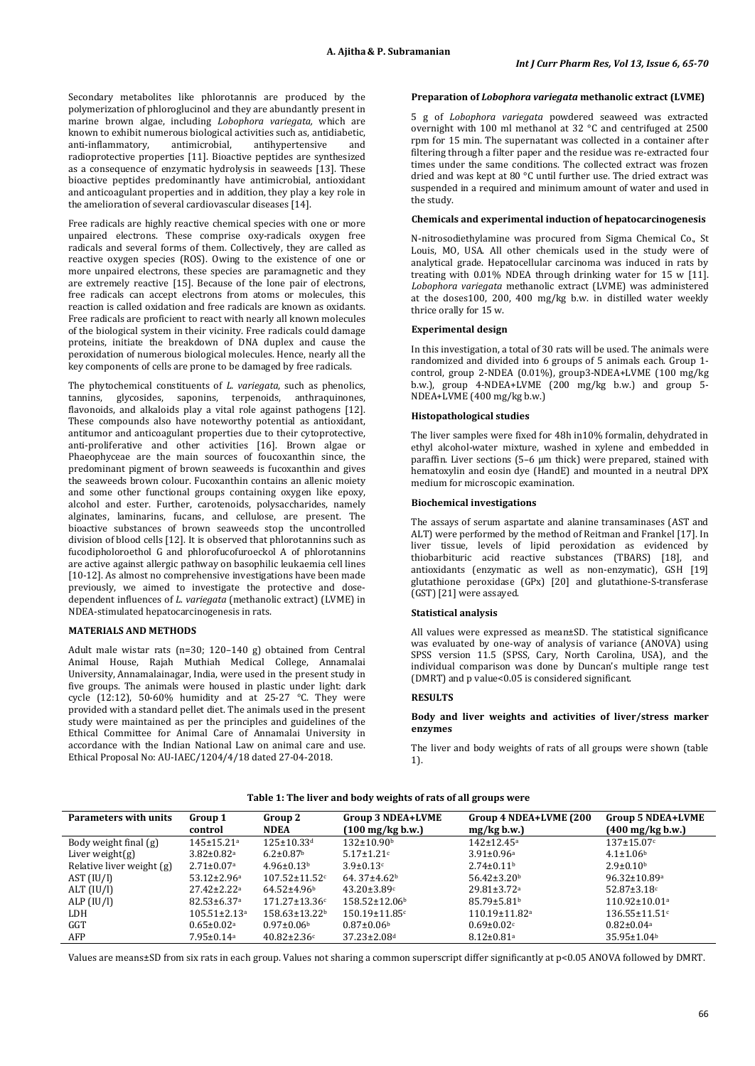Secondary metabolites like phlorotannis are produced by the polymerization o[f phloroglucinol](https://www.sciencedirect.com/topics/pharmacology-toxicology-and-pharmaceutical-science/phloroglucinol) and they are abundantly present in marine [brown algae,](https://www.sciencedirect.com/topics/pharmacology-toxicology-and-pharmaceutical-science/brown-alga) including *Lobophora variegata,* which are known to exhibit numerous biological activities such as, antidiabetic, anti-inflammatory, antimicrobial, antihypertensive and anti-inflammatory, antimicrobial, antihypertensive and radioprotective properties [11]. Bioactive peptides are synthesized as a consequence of enzymatic hydrolysis in seaweeds [13]. These bioactive peptides predominantly have antimicrobial, antioxidant and anticoagulant properties and in addition, they play a key role in the amelioration of several cardiovascular diseases [14].

Free radicals are highly reactive chemical species with one or more unpaired electrons. These comprise oxy-radicals oxygen free radicals and several forms of them. Collectively, they are called as reactive oxygen species (ROS). Owing to the existence of one or more unpaired electrons, these species are paramagnetic and they are extremely reactive [15]. Because of the lone pair of electrons, free radicals can accept electrons from atoms or molecules, this reaction is called oxidation and free radicals are known as oxidants. Free radicals are proficient to react with nearly all known molecules of the biological system in their vicinity. Free radicals could damage proteins, initiate the breakdown of DNA duplex and cause the peroxidation of numerous biological molecules. Hence, nearly all the key components of cells are prone to be damaged by free radicals.

The phytochemical constituents of *L. variegata*, such as phenolics, tannins, glycosides, saponins, terpenoids, anthraquinones, flavonoids, and alkaloids play a vital role against pathogens [12]. These compounds also have noteworthy potential as antioxidant, antitumor and anticoagulant properties due to their cytoprotective, anti-proliferative and other activities [16]. Brown algae or Phaeophyceae are the main sources of foucoxanthin since, the predominant pigment of brown seaweeds is fucoxanthin and gives the seaweeds brown colour. Fucoxanthin contains an allenic moiety and some other functional groups containing oxygen like epoxy, alcohol and ester. Further, carotenoids, polysaccharides, namely alginates, laminarins, fucans, and cellulose, are present. The bioactive substances of brown seaweeds stop the uncontrolled division of blood cells [12]. It is observed that phlorotannins such as fucodipholoroethol G and phlorofucofuroeckol A of phlorotannins are active against allergic pathway on basophilic leukaemia cell lines [10-12]. As almost no comprehensive investigations have been made previously, we aimed to investigate the protective and dosedependent influences of *L. variegata* (methanolic extract) (LVME) in NDEA-stimulated hepatocarcinogenesis in rats.

# **MATERIALS AND METHODS**

Adult male wistar rats (n=30; 120–140 g) obtained from Central Animal House, Rajah Muthiah Medical College, Annamalai University, Annamalainagar, India, were used in the present study in five groups. The animals were housed in plastic under light: dark cycle (12:12), 50-60% humidity and at 25-27 °C. They were provided with a standard pellet diet. The animals used in the present study were maintained as per the principles and guidelines of the Ethical Committee for Animal Care of Annamalai University in accordance with the Indian National Law on animal care and use. Ethical Proposal No: AU-IAEC/1204/4/18 dated 27-04-2018.

## **Preparation of** *Lobophora variegata* **methanolic extract (LVME)**

5 g of *Lobophora variegata* powdered seaweed was extracted overnight with 100 ml methanol at 32 °C and centrifuged at 2500 rpm for 15 min. The supernatant was collected in a container after filtering through a filter paper and the residue was re-extracted four times under the same conditions. The collected extract was frozen dried and was kept at 80 °C until further use. The dried extract was suspended in a required and minimum amount of water and used in the study.

## **Chemicals and experimental induction of hepatocarcinogenesis**

N-nitrosodiethylamine was procured from Sigma Chemical Co., St Louis, MO, USA. All other chemicals used in the study were of analytical grade. Hepatocellular carcinoma was induced in rats by treating with 0.01% NDEA through drinking water for 15 w [11]. *Lobophora variegata* methanolic extract (LVME) was administered at the doses100, 200, 400 mg/kg b.w. in distilled water weekly thrice orally for 15 w.

## **Experimental design**

In this investigation, a total of 30 rats will be used. The animals were randomized and divided into 6 groups of 5 animals each. Group 1 control, group 2-NDEA (0.01%), group3-NDEA+LVME (100 mg/kg b.w.), group 4-NDEA+LVME (200 mg/kg b.w.) and group 5- NDEA+LVME (400 mg/kg b.w.)

#### **Histopathological studies**

The liver samples were fixed for 48h in10% formalin, dehydrated in ethyl alcohol-water mixture, washed in xylene and embedded in paraffin. Liver sections (5–6 µm thick) were prepared, stained with hematoxylin and eosin dye (HandE) and mounted in a neutral DPX medium for microscopic examination.

#### **Biochemical investigations**

The assays of serum aspartate and alanine transaminases (AST and ALT) were performed by the method of Reitman and Frankel [17]. In liver tissue, levels of lipid peroxidation as evidenced by thiobarbituric acid reactive substances (TBARS) [18], and antioxidants (enzymatic as well as non-enzymatic), GSH [19] glutathione peroxidase (GPx) [20] and glutathione-S-transferase (GST) [21] were assayed.

#### **Statistical analysis**

All values were expressed as mean±SD. The statistical significance was evaluated by one-way of analysis of variance (ANOVA) using SPSS version 11.5 (SPSS, Cary, North Carolina, USA), and the individual comparison was done by Duncan's multiple range test (DMRT) and p value<0.05 is considered significant.

## **RESULTS**

#### **Body and liver weights and activities of liver/stress marker enzymes**

The liver and body weights of rats of all groups were shown (table 1).

| <b>Parameters with units</b> | Group 1<br>control             | Group 2<br><b>NDEA</b>      | Group 3 NDEA+LVME<br>(100 mg/kg b.w.) | Group 4 NDEA+LVME (200<br>mg/kg b.w. | <b>Group 5 NDEA+LVME</b><br>$(400 \,\mathrm{mg/kg} \,\mathrm{b.w.})$ |
|------------------------------|--------------------------------|-----------------------------|---------------------------------------|--------------------------------------|----------------------------------------------------------------------|
| Body weight final (g)        | $145 \pm 15.21$ <sup>a</sup>   | $125 \pm 10.33$ d           | $132 \pm 10.90$                       | $142 \pm 12.45$ <sup>a</sup>         | $137 \pm 15.07$ c                                                    |
| Liver weight $(g)$           | $3.82 \pm 0.82$ <sup>a</sup>   | $6.2 \pm 0.87$ <sup>b</sup> | $5.17 \pm 1.21$ c                     | $3.91 \pm 0.96$ <sup>a</sup>         | $4.1 \pm 1.06$                                                       |
| Relative liver weight (g)    | $2.71 \pm 0.07$ <sup>a</sup>   | $4.96 \pm 0.13$             | $3.9 \pm 0.13$ c                      | $2.74 \pm 0.11$ <sup>b</sup>         | $2.9 \pm 0.10^{\rm b}$                                               |
| AST (IU/I)                   | $53.12 \pm 2.96$ <sup>a</sup>  | $107.52 \pm 11.52$ c        | 64.37 $\pm$ 4.62 <sup>b</sup>         | $56.42 \pm 3.20$                     | $96.32 \pm 10.89$ <sup>a</sup>                                       |
| ALT (IU/I)                   | $27.42 \pm 2.22^a$             | $64.52 \pm 4.96$            | $43.20 \pm 3.89$ c                    | $29.81 \pm 3.72$ <sup>a</sup>        | $52.87 \pm 3.18$ c                                                   |
| ALP $(IU/I)$                 | $82.53 \pm 6.37$ <sup>a</sup>  | $171.27 \pm 13.36c$         | $158.52 \pm 12.06^b$                  | $85.79 \pm 5.81$                     | $110.92 \pm 10.01$ <sup>a</sup>                                      |
| LDH                          | $105.51 \pm 2.13$ <sup>a</sup> | $158.63 \pm 13.22$          | $150.19 \pm 11.85$ c                  | $110.19 \pm 11.82$ <sup>a</sup>      | $136.55 \pm 11.51$ <sup>c</sup>                                      |
| GGT                          | $0.65 \pm 0.02$ <sup>a</sup>   | $0.97 \pm 0.06$             | $0.87 \pm 0.06$ <sup>b</sup>          | $0.69 \pm 0.02$                      | $0.82 \pm 0.04$ <sup>a</sup>                                         |
| AFP                          | $7.95 \pm 0.14$ <sup>a</sup>   | $40.82 \pm 2.36c$           | 37.23±2.08 <sup>d</sup>               | $8.12 \pm 0.81$ <sup>a</sup>         | $35.95 \pm 1.04$ <sup>b</sup>                                        |

Values are means±SD from six rats in each group. Values not sharing a common superscript differ significantly at p<0.05 ANOVA followed by DMRT.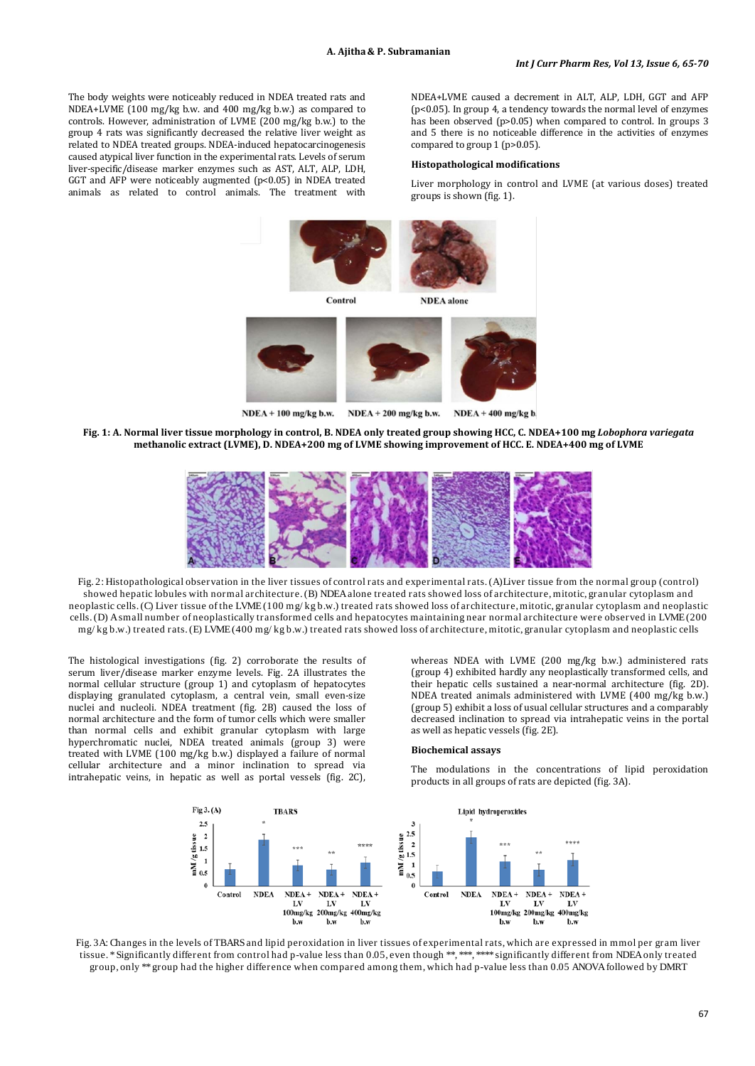The body weights were noticeably reduced in NDEA treated rats and NDEA+LVME (100 mg/kg b.w. and 400 mg/kg b.w.) as compared to controls. However, administration of LVME (200 mg/kg b.w.) to the group 4 rats was significantly decreased the relative liver weight as related to NDEA treated groups. NDEA-induced hepatocarcinogenesis caused atypical liver function in the experimental rats. Levels of serum liver-specific/disease marker enzymes such as AST, ALT, ALP, LDH, GGT and AFP were noticeably augmented (p<0.05) in NDEA treated animals as related to control animals. The treatment with

NDEA+LVME caused a decrement in ALT, ALP, LDH, GGT and AFP (p<0.05). In group 4, a tendency towards the normal level of enzymes has been observed (p>0.05) when compared to control. In groups 3 and 5 there is no noticeable difference in the activities of enzymes compared to group 1 (p>0.05).

#### **Histopathological modifications**

Liver morphology in control and LVME (at various doses) treated groups is shown (fig. 1).



**Fig. 1: A. Normal liver tissue morphology in control, B. NDEA only treated group showing HCC, C. NDEA+100 mg** *Lobophora variegata*  **methanolic extract (LVME), D. NDEA+200 mg of LVME showing improvement of HCC. E. NDEA+400 mg of LVME**



Fig. 2: Histopathological observation in the liver tissues of control rats and experimental rats. (A)Liver tissue from the normal group (control) showed hepatic lobules with normal architecture. (B) NDEA alone treated rats showed loss of architecture, mitotic, granular cytoplasm and neoplastic cells. (C) Liver tissue of the LVME (100 mg/ kg b.w.) treated rats showed loss of architecture, mitotic, granular cytoplasm and neoplastic cells. (D) A small number of neoplastically transformed cells and hepatocytes maintaining near normal architecture were observed in LVME (200 mg/ kg b.w.) treated rats. (E) LVME(400 mg/ kg b.w.) treated rats showed loss of architecture, mitotic, granular cytoplasm and neoplastic cells

The histological investigations (fig. 2) corroborate the results of serum liver/disease marker enzyme levels. Fig. 2A illustrates the normal cellular structure (group 1) and cytoplasm of hepatocytes displaying granulated cytoplasm, a central vein, small even-size nuclei and nucleoli. NDEA treatment (fig. 2B) caused the loss of normal architecture and the form of tumor cells which were smaller than normal cells and exhibit granular cytoplasm with large hyperchromatic nuclei, NDEA treated animals (group 3) were treated with LVME (100 mg/kg b.w.) displayed a failure of normal cellular architecture and a minor inclination to spread via intrahepatic veins, in hepatic as well as portal vessels (fig. 2C),

whereas NDEA with LVME (200 mg/kg b.w.) administered rats (group 4) exhibited hardly any neoplastically transformed cells, and their hepatic cells sustained a near-normal architecture (fig. 2D). NDEA treated animals administered with LVME (400 mg/kg b.w.) (group 5) exhibit a loss of usual cellular structures and a comparably decreased inclination to spread via intrahepatic veins in the portal as well as hepatic vessels (fig. 2E).

#### **Biochemical assays**

The modulations in the concentrations of lipid peroxidation products in all groups of rats are depicted (fig. 3A).



Fig. 3A: Changes in the levels of TBARS and lipid peroxidation in liver tissues of experimental rats, which are expressed in mmol per gram liver tissue. \* Significantly different from control had p-value less than 0.05, even though \*\*, \*\*\*, \*\*\*\* significantly different from NDEA only treated group, only \*\* group had the higher difference when compared among them, which had p-value less than 0.05 ANOVA followed by DMRT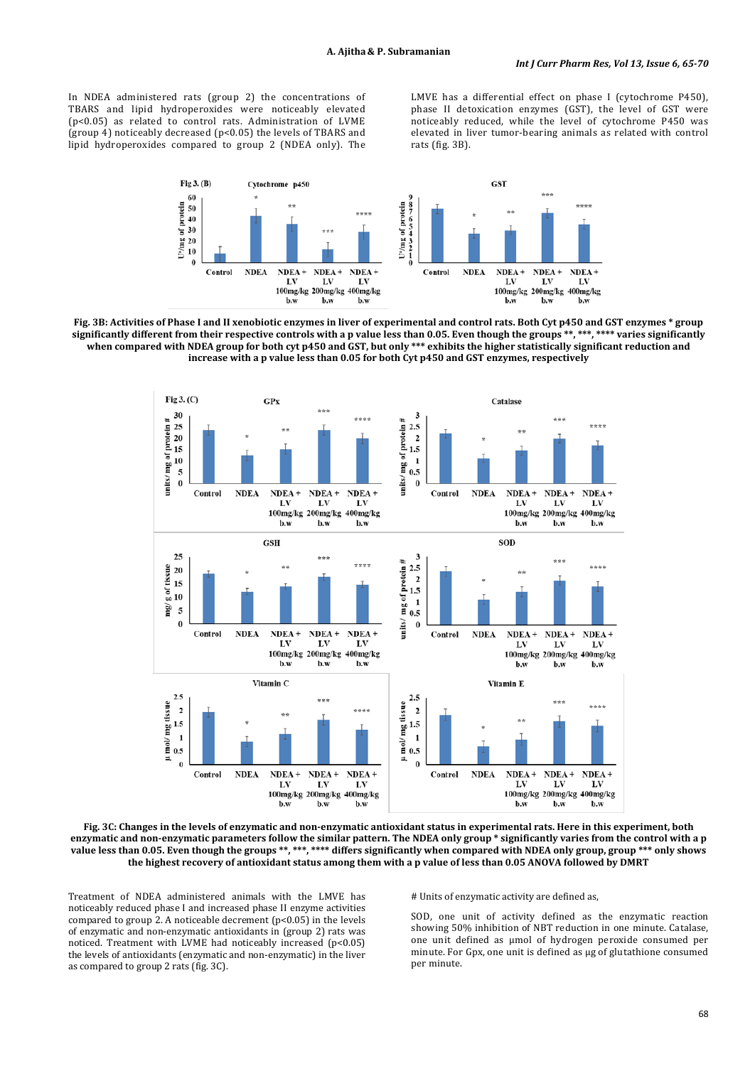In NDEA administered rats (group 2) the concentrations of TBARS and lipid hydroperoxides were noticeably elevated (p<0.05) as related to control rats. Administration of LVME (group 4) noticeably decreased (p<0.05) the levels of TBARS and lipid hydroperoxides compared to group 2 (NDEA only). The

LMVE has a differential effect on phase I (cytochrome P450), phase II detoxication enzymes (GST), the level of GST were noticeably reduced, while the level of cytochrome P450 was elevated in liver tumor-bearing animals as related with control rats (fig. 3B).



**Fig. 3B: Activities of Phase I and II xenobiotic enzymes in liver of experimental and control rats. Both Cyt p450 and GST enzymes \* group significantly different from their respective controls with a p value less than 0.05. Even though the groups \*\*, \*\*\*, \*\*\*\* varies significantly when compared with NDEA group for both cyt p450 and GST, but only \*\*\* exhibits the higher statistically significant reduction and increase with a p value less than 0.05 for both Cyt p450 and GST enzymes, respectively**



**Fig. 3C: Changes in the levels of enzymatic and non-enzymatic antioxidant status in experimental rats. Here in this experiment, both enzymatic and non-enzymatic parameters follow the similar pattern. The NDEA only group \* significantly varies from the control with a p value less than 0.05. Even though the groups \*\*, \*\*\*, \*\*\*\* differs significantly when compared with NDEA only group, group \*\*\* only shows the highest recovery of antioxidant status among them with a p value of less than 0.05 ANOVA followed by DMRT**

Treatment of NDEA administered animals with the LMVE has noticeably reduced phase I and increased phase II enzyme activities compared to group 2. A noticeable decrement (p<0.05) in the levels of enzymatic and non-enzymatic antioxidants in (group 2) rats was noticed. Treatment with LVME had noticeably increased (p<0.05) the levels of antioxidants (enzymatic and non-enzymatic) in the liver as compared to group 2 rats (fig. 3C).

# Units of enzymatic activity are defined as,

SOD, one unit of activity defined as the enzymatic reaction showing 50% inhibition of NBT reduction in one minute. Catalase, one unit defined as µmol of hydrogen peroxide consumed per minute. For Gpx, one unit is defined as µg of glutathione consumed per minute.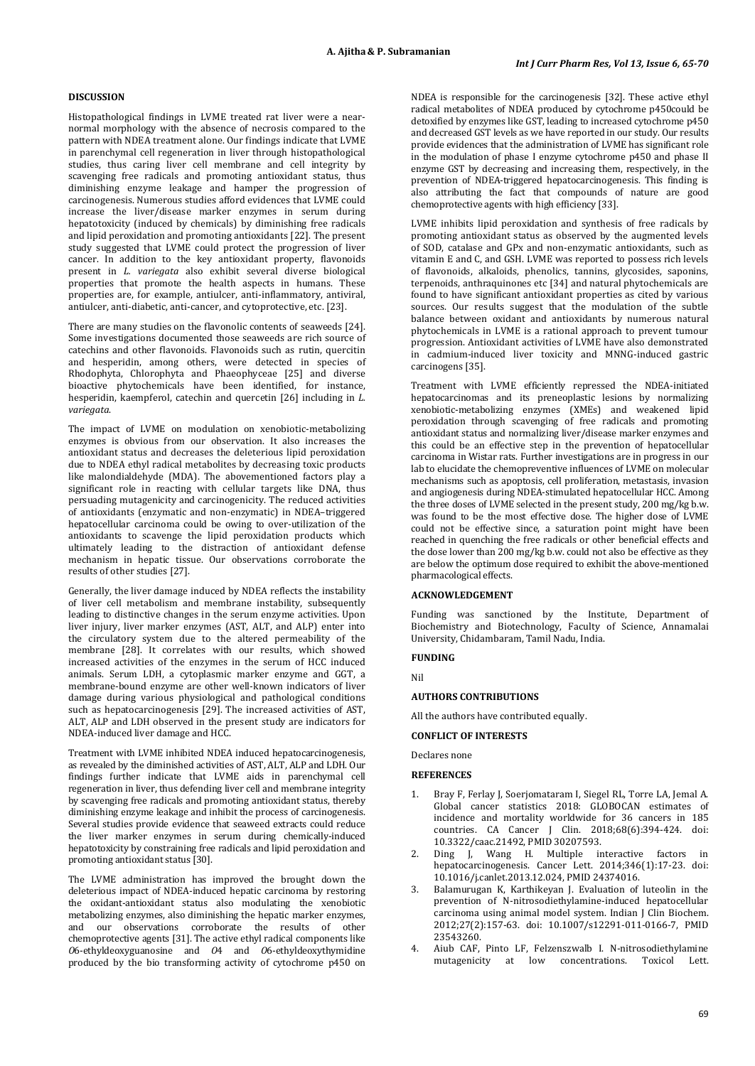# **DISCUSSION**

Histopathological findings in LVME treated rat liver were a nearnormal morphology with the absence of necrosis compared to the pattern with NDEA treatment alone. Our findings indicate that LVME in parenchymal cell regeneration in liver through histopathological studies, thus caring liver cell membrane and cell integrity by scavenging free radicals and promoting antioxidant status, thus diminishing enzyme leakage and hamper the progression of carcinogenesis. Numerous studies afford evidences that LVME could increase the liver/disease marker enzymes in serum during hepatotoxicity (induced by chemicals) by diminishing free radicals and lipid peroxidation and promoting antioxidants [22]. The present study suggested that LVME could protect the progression of liver cancer. In addition to the key antioxidant property, flavonoids present in *L. variegata* also exhibit several diverse biological properties that promote the health aspects in humans. These properties are, for example, antiulcer, anti-inflammatory, antiviral, antiulcer, anti-diabetic, anti-cancer, and cytoprotective, etc. [23].

There are many studies on the flavonolic contents of seaweeds [24]. Some investigations documented those seaweeds are rich source of catechins and other flavonoids. Flavonoids such as rutin, quercitin and hesperidin, among others, were detected in species of Rhodophyta, Chlorophyta and Phaeophyceae [25] and diverse bioactive phytochemicals have been identified, for instance, hesperidin, kaempferol, catechin and quercetin [26] including in *L. variegata*.

The impact of LVME on modulation on xenobiotic-metabolizing enzymes is obvious from our observation. It also increases the antioxidant status and decreases the deleterious lipid peroxidation due to NDEA ethyl radical metabolites by decreasing toxic products like malondialdehyde (MDA). The abovementioned factors play a significant role in reacting with cellular targets like DNA, thus persuading mutagenicity and carcinogenicity. The reduced activities of antioxidants (enzymatic and non-enzymatic) in NDEA–triggered hepatocellular carcinoma could be owing to over-utilization of the antioxidants to scavenge the lipid peroxidation products which ultimately leading to the distraction of antioxidant defense mechanism in hepatic tissue. Our observations corroborate the results of other studies [27].

Generally, the liver damage induced by NDEA reflects the instability of liver cell metabolism and membrane instability, subsequently leading to distinctive changes in the serum enzyme activities. Upon liver injury, liver marker enzymes (AST, ALT, and ALP) enter into the circulatory system due to the altered permeability of the membrane [28]. It correlates with our results, which showed increased activities of the enzymes in the serum of HCC induced animals. Serum LDH, a cytoplasmic marker enzyme and GGT, a membrane-bound enzyme are other well-known indicators of liver damage during various physiological and pathological conditions such as hepatocarcinogenesis [29]. The increased activities of AST, ALT, ALP and LDH observed in the present study are indicators for NDEA-induced liver damage and HCC.

Treatment with LVME inhibited NDEA induced hepatocarcinogenesis, as revealed by the diminished activities of AST, ALT, ALP and LDH. Our findings further indicate that LVME aids in parenchymal cell regeneration in liver, thus defending liver cell and membrane integrity by scavenging free radicals and promoting antioxidant status, thereby diminishing enzyme leakage and inhibit the process of carcinogenesis. Several studies provide evidence that seaweed extracts could reduce the liver marker enzymes in serum during chemically-induced hepatotoxicity by constraining free radicals and lipid peroxidation and promoting antioxidant status [30].

The LVME administration has improved the brought down the deleterious impact of NDEA-induced hepatic carcinoma by restoring the oxidant-antioxidant status also modulating the xenobiotic metabolizing enzymes, also diminishing the hepatic marker enzymes, and our observations corroborate the results of other chemoprotective agents [31]. The active ethyl radical components like *O*6-ethyldeoxyguanosine and *O*4 and *O*6-ethyldeoxythymidine produced by the bio transforming activity of cytochrome p450 on

NDEA is responsible for the carcinogenesis [32]. These active ethyl radical metabolites of NDEA produced by cytochrome p450could be detoxified by enzymes like GST, leading to increased cytochrome p450 and decreased GST levels as we have reported in our study. Our results provide evidences that the administration of LVME has significant role in the modulation of phase I enzyme cytochrome p450 and phase II enzyme GST by decreasing and increasing them, respectively, in the prevention of NDEA-triggered hepatocarcinogenesis. This finding is also attributing the fact that compounds of nature are good chemoprotective agents with high efficiency [33].

LVME inhibits lipid peroxidation and synthesis of free radicals by promoting antioxidant status as observed by the augmented levels of SOD, catalase and GPx and non-enzymatic antioxidants, such as vitamin E and C, and GSH. LVME was reported to possess rich levels of flavonoids, alkaloids, phenolics, tannins, glycosides, saponins, terpenoids, anthraquinones etc [34] and natural phytochemicals are found to have significant antioxidant properties as cited by various sources. Our results suggest that the modulation of the subtle balance between oxidant and antioxidants by numerous natural phytochemicals in LVME is a rational approach to prevent tumour progression. Antioxidant activities of LVME have also demonstrated in cadmium-induced liver toxicity and MNNG-induced gastric carcinogens [35].

Treatment with LVME efficiently repressed the NDEA-initiated hepatocarcinomas and its preneoplastic lesions by normalizing xenobiotic-metabolizing enzymes (XMEs) and weakened lipid peroxidation through scavenging of free radicals and promoting antioxidant status and normalizing liver/disease marker enzymes and this could be an effective step in the prevention of hepatocellular carcinoma in Wistar rats. Further investigations are in progress in our lab to elucidate the chemopreventive influences of LVME on molecular mechanisms such as apoptosis, cell proliferation, metastasis, invasion and angiogenesis during NDEA-stimulated hepatocellular HCC. Among the three doses of LVME selected in the present study, 200 mg/kg b.w. was found to be the most effective dose. The higher dose of LVME could not be effective since, a saturation point might have been reached in quenching the free radicals or other beneficial effects and the dose lower than 200 mg/kg b.w. could not also be effective as they are below the optimum dose required to exhibit the above-mentioned pharmacological effects.

# **ACKNOWLEDGEMENT**

Funding was sanctioned by the Institute, Department of Biochemistry and Biotechnology, Faculty of Science, Annamalai University, Chidambaram, Tamil Nadu, India.

# **FUNDING**

Nil

#### **AUTHORS CONTRIBUTIONS**

All the authors have contributed equally.

# **CONFLICT OF INTERESTS**

Declares none

# **REFERENCES**

- 1. Bray F, Ferlay J, Soerjomataram I, Siegel RL, Torre LA, Jemal A. Global cancer statistics 2018: GLOBOCAN estimates of incidence and mortality worldwide for 36 cancers in 185 countries. CA Cancer J Clin. 2018;68(6):394-424. doi: [10.3322/caac.21492,](https://doi.org/10.3322/caac.21492) PMI[D 30207593.](https://www.ncbi.nlm.nih.gov/pubmed/30207593)
- 2. Ding J, Wang H. Multiple interactive factors in hepatocarcinogenesis. Cancer Lett. 2014;346(1):17-23. doi: [10.1016/j.canlet.2013.12.024,](https://doi.org/10.1016/j.canlet.2013.12.024) PMI[D 24374016.](https://www.ncbi.nlm.nih.gov/pubmed/24374016)
- 3. Balamurugan K, Karthikeyan J. Evaluation of luteolin in the prevention of N-nitrosodiethylamine-induced hepatocellular carcinoma using animal model system. Indian J Clin Biochem. 2012;27(2):157-63. doi: [10.1007/s12291-011-0166-7,](https://doi.org/10.1007/s12291-011-0166-7) PMID [23543260.](https://www.ncbi.nlm.nih.gov/pubmed/23543260)
- Aiub CAF, Pinto LF, Felzenszwalb I. N-nitrosodiethylamine<br>mutagenicity at low concentrations. Toxicol Lett. mutagenicity at low concentrations. Toxicol